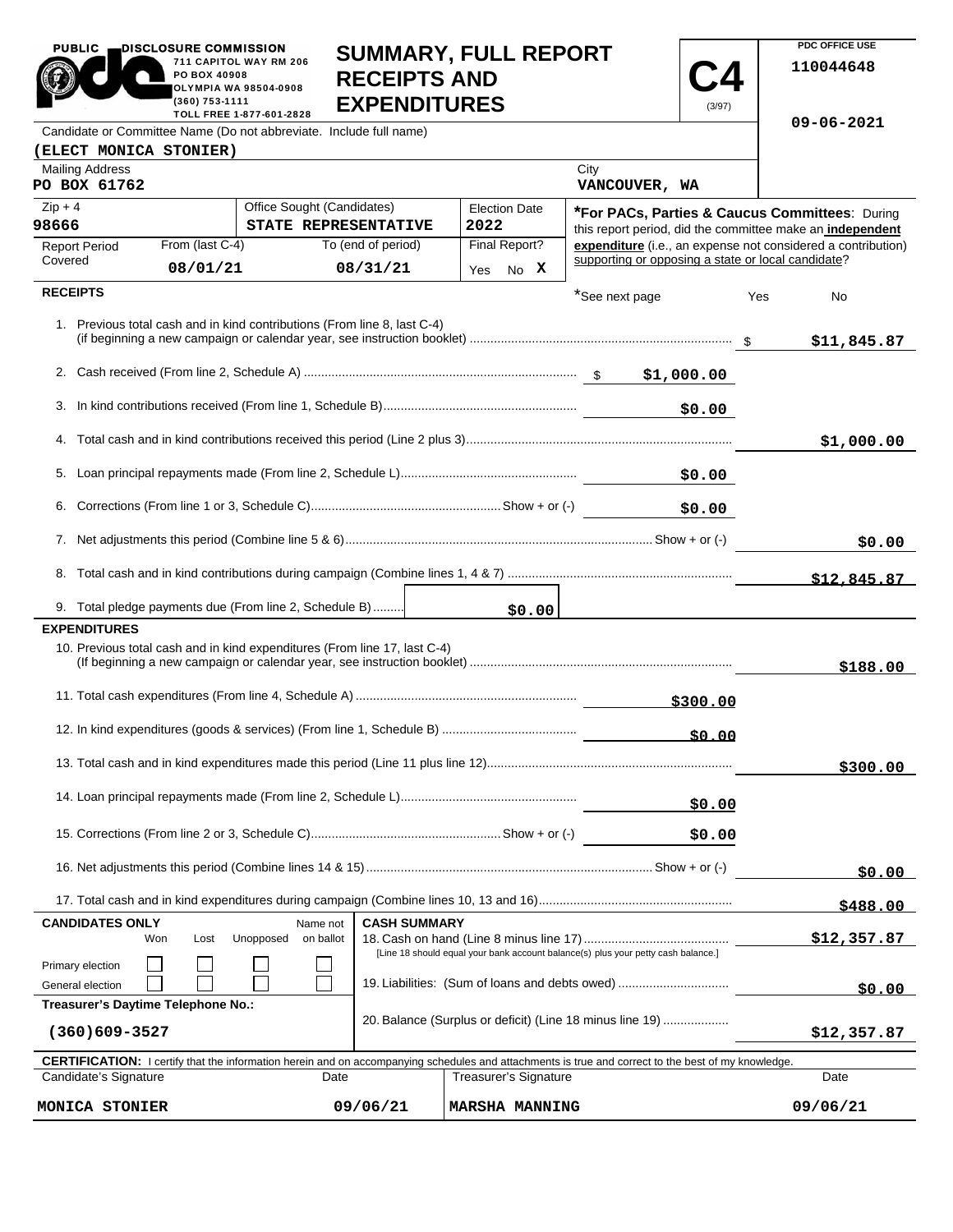| <b>PUBLIC</b>                                                                                                                                                                               | DISCLOSURE COMMISSION<br>PO BOX 40908                                             | 711 CAPITOL WAY RM 206                                                                         | <b>RECEIPTS AND</b>            | <b>SUMMARY, FULL REPORT</b>  |                                                    |             | PDC OFFICE USE<br>110044648                                  |
|---------------------------------------------------------------------------------------------------------------------------------------------------------------------------------------------|-----------------------------------------------------------------------------------|------------------------------------------------------------------------------------------------|--------------------------------|------------------------------|----------------------------------------------------|-------------|--------------------------------------------------------------|
|                                                                                                                                                                                             | (360) 753-1111                                                                    | <b>OLYMPIA WA 98504-0908</b>                                                                   | <b>EXPENDITURES</b>            |                              |                                                    | (3/97)      |                                                              |
|                                                                                                                                                                                             |                                                                                   | TOLL FREE 1-877-601-2828<br>Candidate or Committee Name (Do not abbreviate. Include full name) |                                |                              |                                                    |             | $09 - 06 - 2021$                                             |
| (ELECT MONICA STONIER)                                                                                                                                                                      |                                                                                   |                                                                                                |                                |                              |                                                    |             |                                                              |
| <b>Mailing Address</b><br>PO BOX 61762                                                                                                                                                      |                                                                                   |                                                                                                |                                |                              | City<br>VANCOUVER, WA                              |             |                                                              |
| $Zip + 4$                                                                                                                                                                                   |                                                                                   | Office Sought (Candidates)                                                                     |                                | <b>Election Date</b>         |                                                    |             | *For PACs, Parties & Caucus Committees: During               |
| 98666                                                                                                                                                                                       |                                                                                   | STATE REPRESENTATIVE                                                                           |                                | 2022                         |                                                    |             | this report period, did the committee make an independent    |
| <b>Report Period</b><br>Covered                                                                                                                                                             | From (last C-4)<br>08/01/21                                                       |                                                                                                | To (end of period)<br>08/31/21 | Final Report?<br>No X<br>Yes | supporting or opposing a state or local candidate? |             | expenditure (i.e., an expense not considered a contribution) |
| <b>RECEIPTS</b>                                                                                                                                                                             |                                                                                   |                                                                                                |                                |                              |                                                    |             |                                                              |
|                                                                                                                                                                                             |                                                                                   | 1. Previous total cash and in kind contributions (From line 8, last C-4)                       |                                |                              | *See next page                                     |             | Yes<br>No<br>\$11,845.87                                     |
|                                                                                                                                                                                             |                                                                                   |                                                                                                |                                |                              |                                                    |             |                                                              |
|                                                                                                                                                                                             |                                                                                   |                                                                                                |                                |                              |                                                    | \$0.00      |                                                              |
|                                                                                                                                                                                             |                                                                                   |                                                                                                |                                |                              |                                                    |             |                                                              |
|                                                                                                                                                                                             |                                                                                   |                                                                                                |                                |                              |                                                    |             | \$1,000.00                                                   |
|                                                                                                                                                                                             |                                                                                   |                                                                                                |                                |                              |                                                    | \$0.00      |                                                              |
|                                                                                                                                                                                             |                                                                                   |                                                                                                |                                |                              |                                                    | \$0.00      |                                                              |
|                                                                                                                                                                                             |                                                                                   |                                                                                                |                                |                              |                                                    |             | \$0.00                                                       |
|                                                                                                                                                                                             |                                                                                   |                                                                                                |                                |                              |                                                    |             | \$12.845.87                                                  |
|                                                                                                                                                                                             |                                                                                   | 9. Total pledge payments due (From line 2, Schedule B)                                         |                                |                              |                                                    |             |                                                              |
| <b>EXPENDITURES</b>                                                                                                                                                                         |                                                                                   |                                                                                                |                                | \$0.00                       |                                                    |             |                                                              |
|                                                                                                                                                                                             |                                                                                   | 10. Previous total cash and in kind expenditures (From line 17, last C-4)                      |                                |                              |                                                    |             | \$188.00                                                     |
|                                                                                                                                                                                             |                                                                                   |                                                                                                |                                |                              |                                                    | \$300.00    |                                                              |
|                                                                                                                                                                                             |                                                                                   |                                                                                                |                                |                              |                                                    | \$0.00      |                                                              |
|                                                                                                                                                                                             |                                                                                   |                                                                                                |                                |                              |                                                    |             | \$300.00                                                     |
|                                                                                                                                                                                             |                                                                                   |                                                                                                |                                |                              |                                                    |             |                                                              |
|                                                                                                                                                                                             |                                                                                   |                                                                                                |                                |                              |                                                    | \$0.00      |                                                              |
|                                                                                                                                                                                             |                                                                                   |                                                                                                |                                |                              |                                                    | \$0.00      |                                                              |
|                                                                                                                                                                                             |                                                                                   |                                                                                                |                                |                              |                                                    |             | \$0.00                                                       |
|                                                                                                                                                                                             |                                                                                   |                                                                                                |                                |                              |                                                    |             | \$488.00                                                     |
| <b>CASH SUMMARY</b><br><b>CANDIDATES ONLY</b><br>Name not<br>Unopposed<br>on ballot<br>Won<br>Lost                                                                                          |                                                                                   |                                                                                                |                                |                              |                                                    | \$12,357.87 |                                                              |
| Primary election                                                                                                                                                                            | [Line 18 should equal your bank account balance(s) plus your petty cash balance.] |                                                                                                |                                |                              |                                                    |             |                                                              |
| 19. Liabilities: (Sum of loans and debts owed)<br>General election<br>Treasurer's Daytime Telephone No.:                                                                                    |                                                                                   |                                                                                                |                                |                              |                                                    | \$0.00      |                                                              |
| 20. Balance (Surplus or deficit) (Line 18 minus line 19)<br>$(360)609 - 3527$                                                                                                               |                                                                                   |                                                                                                |                                |                              | \$12,357.87                                        |             |                                                              |
|                                                                                                                                                                                             |                                                                                   |                                                                                                |                                |                              |                                                    |             |                                                              |
| <b>CERTIFICATION:</b> I certify that the information herein and on accompanying schedules and attachments is true and correct to the best of my knowledge.<br>Candidate's Signature<br>Date |                                                                                   |                                                                                                |                                | Treasurer's Signature        |                                                    |             | Date                                                         |
| 09/06/21<br><b>MONICA STONIER</b>                                                                                                                                                           |                                                                                   |                                                                                                | <b>MARSHA MANNING</b>          |                              |                                                    | 09/06/21    |                                                              |

**PDC OFFICE USE**